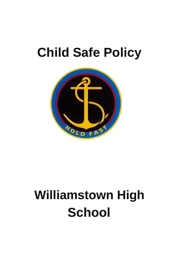# **Child Safe Policy**



# **Williamstown High School**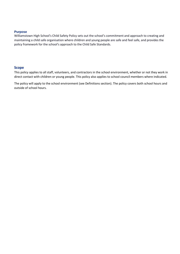#### **Purpose**

Williamstown High School's Child Safety Policy sets out the school's commitment and approach to creating and maintaining a child safe organisation where children and young people are safe and feel safe, and provides the policy framework for the school's approach to the Child Safe Standards.

#### **Scope**

This policy applies to all staff, volunteers, and contractors in the school environment, whether or not they work in direct contact with children or young people. This policy also applies to school council members where indicated.

The policy will apply to the school environment (see Definitions section). The policy covers both school hours and outside of school hours.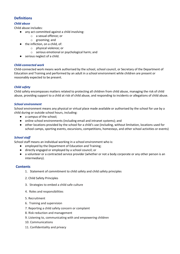# **Definitions**

#### *Child abuse*

Child abuse includes:

- any act committed against a child involving:
	- o a sexual offence; or
	- o grooming; and
- the infliction, on a child, of:
	- o physical violence; or
	- o serious emotional or psychological harm; and
- serious neglect of a child.

#### *Child-connected work*

Child-connected work means work authorised by the school, school council, or Secretary of the Department of Education and Training and performed by an adult in a school environment while children are present or reasonably expected to be present.

#### *Child safety*

Child safety encompasses matters related to protecting all children from child abuse, managing the risk of child abuse, providing support to a child at risk of child abuse, and responding to incidents or allegations of child abuse.

#### *School environment*

School environment means any physical or virtual place made available or authorised by the school for use by a child during or outside school hours, including:

- a campus of the school;
- online school environments (including email and intranet systems); and
- other locations provided by the school for a child's use (including, without limitation, locations used for school camps, sporting events, excursions, competitions, homestays, and other school activities or events)

#### *School staff*

School staff means an individual working in a school environment who is:

- employed by the Department of Education and Training;
- directly engaged or employed by a school council; or
- a volunteer or a contracted service provider (whether or not a body corporate or any other person is an intermediary).

#### **Contents**

- 1. Statement of commitment to child safety and child safety principles
- 2. Child Safety Principles
- 3. Strategies to embed a child safe culture
- 4. Roles and responsibilities
- 5. Recruitment
- 6. Training and supervision
- 7. Reporting a child safety concern or complaint
- 8. Risk reduction and management
- 9. Listening to, communicating with and empowering children
- 10. Communications
- 11. Confidentiality and privacy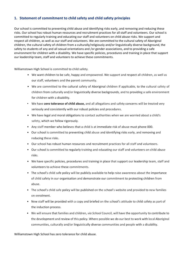# **1. Statement of commitment to child safety and child safety principles**

Our school is committed to preventing child abuse and identifying risks early, and removing and reducing these risks. Our school has robust human resources and recruitment practices for all staff and volunteers. Our school is committed to regularly training and educating our staff and volunteers on child abuse risks. We support and respect all children, as well as our staff and volunteers. We are committed to the cultural safety of Aboriginal children, the cultural safety of children from a culturally/religiously and/or linguistically diverse background, the safety to students of any and all sexual orientations and /or gender associations, and to providing a safe environment for children with a disability. We have specific policies, procedures and training in place that support our leadership team, staff and volunteers to achieve these commitments.

Williamstown High School is committed to child safety.

- We want children to be safe, happy and empowered. We support and respect all children, as well as our staff, volunteers and the parent community.
- We are committed to the cultural safety of Aboriginal children if applicable, to the cultural safety of children from culturally and/or linguistically diverse backgrounds, and to providing a safe environment for children with a disability.
- We have **zero tolerance of child abuse,** and all allegations and safety concerns will be treated very seriously and consistently with our robust policies and procedures.
- We have legal and moral obligations to contact authorities when we are worried about a child's safety, which we follow rigorously.
- Any staff member who believes that a child is at immediate risk of abuse must phone 000.
- Our school is committed to preventing child abuse and identifying risks early, and removing and reducing these risks.
- Our school has robust human resources and recruitment practices for all staff and volunteers.
- Our school is committed to regularly training and educating our staff and volunteers on child abuse risks.
- We have specific policies, procedures and training in place that support our leadership team, staff and volunteers to achieve these commitments.
- The school's child safe policy will be publicly available to help raise awareness about the importance of child safety in our organisation and demonstrate our commitment to protecting children from abuse.
- The school's child safe policy will be published on the school's website and provided to new families on enrolment.
- New staff will be provided with a copy and briefed on the school's attitude to child safety as part of the induction process.
- We will ensure that families and children, *via School* Council, will have the opportunity to contribute to the development and review of this policy. Where possible we do our best to work with local Aboriginal communities, culturally and/or linguistically diverse communities and people with a disability.

Williamstown High School has zero tolerance for child abuse.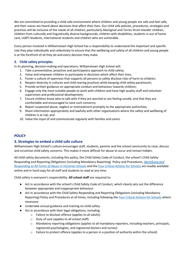We are committed to providing a child safe environment where children and young people are safe and feel safe, and their voices are heard about decisions that affect their lives. Our child safe policies, procedures, strategies and practices will be inclusive of the needs of all children, particularly Aboriginal and Torres Strait Islander children, children from culturally and linguistically diverse backgrounds, children with disabilities, students in out of home care, LGBTI Students, international students and children who are vulnerable.

Every person involved in Williamstown High School has a responsibility to understand the important and specific role they play individually and collectively to ensure that the wellbeing and safety of all children and young people is at the forefront of all they do and every decision they make.

## **2. Child safety principles**

In its planning, decision-making and operations, Williamstown High School will:

- 1. Take a preventative, proactive and participatory approach to child safety;
- 2. Value and empower children to participate in decisions which affect their lives;
- 3. Foster a culture of openness that supports all persons to safely disclose risks of harm to children;
- 4. Respect diversity in cultures and child rearing practices while keeping child safety paramount;
- 5. Provide written guidance on appropriate conduct and behaviour towards children;
- 6. Engage only the most suitable people to work with children and have high quality staff and volunteer supervision and professional development;
- 7. Ensure children know who to talk with if they are worried or are feeling unsafe, and that they are comfortable and encouraged to raise such concerns;
- 8. Report suspected abuse, neglect or mistreatment promptly to the appropriate authorities;
- 9. Share information appropriately and lawfully with other organisations where the safety and wellbeing of children is at risk; and
- 10. Value the input of and communicate regularly with families and carers

## **POLICY**

## **3. Strategies to embed a child safe culture**

Williamstown High School's culture encourages staff, students, parents and the school community to raise, discuss and scrutinise child safety concerns. This makes it more difficult for abuse to occur and remain hidden.

All child safety documents, including this policy, the Child Safety Code of Conduct, the school's Child Safety Responding and Reporting Obligations (including Mandatory Reporting) Policy and Procedures, *[Identifying and](https://www.education.vic.gov.au/Documents/about/programs/health/protect/ChildSafeStandard5_SchoolsGuide.pdf)  [Responding to All Forms of Abuse in Victorian Schools](https://www.education.vic.gov.au/Documents/about/programs/health/protect/ChildSafeStandard5_SchoolsGuide.pdf)* and the [Four Critical Actions for Schools](https://www.education.vic.gov.au/Documents/about/programs/health/protect/FourCriticalActions_ChildAbuse.pdf) are readily available online and in hard copy for all staff and students to read at any time.

Child safety is everyone's responsibility. **All school staff** are required to:

- Act in accordance with the school's Child Safety Code of Conduct, which clearly sets out the difference between appropriate and inappropriate behaviour
- Act in accordance with the Child Safety Responding and Reporting Obligations (including Mandatory Reporting) Policy and Procedures at all times, including following the Four [Critical Actions for Schools](https://www.education.vic.gov.au/Documents/about/programs/health/protect/FourCriticalActions_ChildAbuse.pdf) where necessary
- Undertake annual guidance and training on child safety
- Act in accordance with their legal obligations, including:
	- o Failure to disclose offence (applies to all adults)
	- o Duty of care (applies to all school staff)
	- o Mandatory reporting obligations (applies to all mandatory reporters, including teachers, principals, registered psychologists, and registered doctors and nurses)
	- o Failure to protect offence (applies to a person in a position of authority within the school)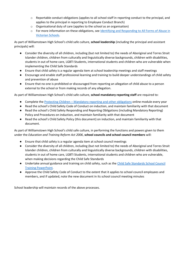- $\circ$  Reportable conduct obligations (applies to all school staff in reporting conduct to the principal, and applies to the principal in reporting to Employee Conduct Branch)
- o Organisational duty of care (applies to the school as an organisation)
- o For more information on these obligations, se[e Identifying and Responding to All Forms of Abuse in](https://www.education.vic.gov.au/Documents/about/programs/health/protect/ChildSafeStandard5_SchoolsGuide.pdf)  [Victorian Schools.](https://www.education.vic.gov.au/Documents/about/programs/health/protect/ChildSafeStandard5_SchoolsGuide.pdf)

As part of Williamstown High School's child safe culture, **school leadership** (including the principal and assistant principals) will:

- Consider the diversity of all children, including (but not limited to) the needs of Aboriginal and Torres Strait Islander children, children from culturally and linguistically diverse backgrounds, children with disabilities, students in out of home care, LGBTI Students, international students and children who are vulnerable when implementing the Child Safe Standards
- Ensure that child safety is a regular agenda item at school leadership meetings and staff meetings
- Encourage and enable staff professional learning and training to build deeper understandings of child safety and prevention of abuse
- Ensure that no one is prohibited or discouraged from reporting an allegation of child abuse to a person external to the school or from making records of any allegation.

As part of Williamstown High School's child safe culture, **school mandatory reporting staff** are required to:

- Complete the Protecting Children [Mandatory reporting and other obligations](http://elearn.com.au/det/protectingchildren/) online module every year
- Read the school's Child Safety Code of Conduct on induction, and maintain familiarity with that document
- Read the school's Child Safety Responding and Reporting Obligations (including Mandatory Reporting) Policy and Procedures on induction, and maintain familiarity with that document
- Read the school's Child Safety Policy (this document) on induction, and maintain familiarity with that document.

As part of Williamstown High School's child safe culture, in performing the functions and powers given to them under the *Education and Training Reform Act 2006*, **school councils and school council members** will:

- Ensure that child safety is a regular agenda item at school council meetings
- Consider the diversity of all children, including (but not limited to) the needs of Aboriginal and Torres Strait Islander children, children from culturally and linguistically diverse backgrounds, children with disabilities, students in out of home care, LGBTI Students, international students and children who are vulnerable, when making decisions regarding the Child Safe Standards
- Undertake annual guidance and training on child safety, such as th[e Child Safe Standards School Council](https://www.education.vic.gov.au/Documents/about/programs/health/protect/school-council-training.pptx)  [Training PowerPoint.](https://www.education.vic.gov.au/Documents/about/programs/health/protect/school-council-training.pptx)
- Approve the Child Safety Code of Conduct to the extent that it applies to school council employees and members, and if updated, note the new document in its school council meeting minutes

School leadership will maintain records of the above processes.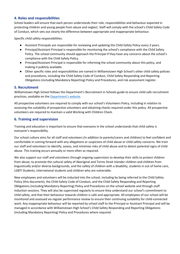## **4. Roles and responsibilities**

School leaders will ensure that each person understands their role, responsibilities and behaviour expected in protecting children and young people from abuse and neglect. Staff will comply with the school's Child Safety Code of Conduct, which sets out clearly the difference between appropriate and inappropriate behaviour.

Specific child safety responsibilities:

- Assistant Principals are responsible for reviewing and updating the Child Safety Policy every 3 years.
- Principal/Assistant Principal is responsible for monitoring the school's compliance with the Child Safety Policy. The school community should approach the Principal if they have any concerns about the school's compliance with the Child Safety Policy.
- Principal/Assistant Principal is responsible for informing the school community about this policy, and making it publicly available.
- Other specific roles and responsibilities are named in Williamstown High School's other child safety policies and procedures, including the Child Safety Code of Conduct, Child Safety Responding and Reporting Obligations (including Mandatory Reporting) Policy and Procedures, and risk assessment register.

## **5. Recruitment**

Williamstown High School follows the Department's Recruitment in Schools guide to ensure child safe recruitment practices, available on the [Department's website](https://www.education.vic.gov.au/hrweb/careers/Pages/recruitinsch.aspx).

All prospective volunteers are required to comply with our school's Volunteers Policy, including in relation to assessing the suitability of prospective volunteers and obtaining checks required under this policy. All prospective volunteers are required to maintain a valid Working with Children Check.

## **6. Training and supervision**

Training and education is important to ensure that everyone in the school understands that child safety is everyone's responsibility.

Our school culture aims for all staff and volunteers (in addition to parents/carers and children) to feel confident and comfortable in coming forward with any allegations or suspicions of child abuse or child safety concerns. We train our staff and volunteers to identify, assess, and minimise risks of child abuse and to detect potential signs of child abuse. This training occurs annually or more often as required.

We also support our staff and volunteers through ongoing supervision to develop their skills to protect children from abuse, to promote the cultural safety of Aboriginal and Torres Strait Islander children and children from linguistically and/or diverse backgrounds, and the safety of children with a disability, students in out of home care, LGBTI Students, international students and children who are vulnerable.

New employees and volunteers will be inducted into the school, including by being referred to the Child Safety Policy (this document), the Child Safety Code of Conduct, and the Child Safety Responding and Reporting Obligations (including Mandatory Reporting) Policy and Procedures on the school website and through staff induction sessions. They will also be supervised regularly to ensure they understand our school's commitment to child safety, and that their behaviour towards children is safe and appropriate. All employees of our school will be monitored and assessed via regular performance review to ensure their continuing suitability for child-connected work. Any inappropriate behaviour will be reported by school staff to the Principal or Assistant Principal and will be managed in accordance with Williamstown High School's Child Safety Responding and Reporting Obligations (including Mandatory Reporting) Policy and Procedures where required.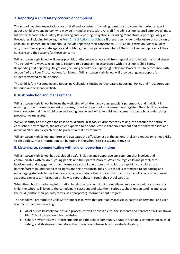# **7. Reporting a child safety concern or complaint**

The school has clear expectations for all staff and volunteers (including homestay providers) in making a report about a child or young person who may be in need of protection. All staff (including school council employees) must follow the school's Child Safety Responding and Reporting Obligations (including Mandatory Reporting) Policy and Procedures, including following the [Four Critical Actions for Schools](https://www.education.vic.gov.au/Documents/about/programs/health/protect/FourCriticalActions_ChildAbuse.pdf) if there is an incident, disclosure or suspicion of child abuse. Immediate actions should include reporting their concerns to DHHS Child Protection, Victoria Police and/or another appropriate agency and notifying the principal or a member of the school leadership team of their concerns and the reasons for those concerns.

Williamstown High School will never prohibit or discourage school staff from reporting an allegation of child abuse. The school will always take action to respond to a complaint in accordance with the school's Child Safety Responding and Reporting Obligations (including Mandatory Reporting) Policy and Procedures. In accordance with Action 4 of the Four Critical Actions for Schools, Williamstown High School will provide ongoing support for students affected by child abuse.

The Child Safety Responding and Reporting Obligations (including Mandatory Reporting) Policy and Procedures can be found on the school website.

## **8. Risk reduction and management**

Williamstown High School believes the wellbeing of children and young people is paramount, and is vigilant in ensuring proper risk management processes, found in the school's risk assessment register. The school recognises there are potential risks to children and young people and will take a risk management approach by undertaking preventative measures.

We will identify and mitigate the risks of child abuse in school environments by taking into account the nature of each school environment, the activities expected to be conducted in that environment and the characteristics and needs of all children expected to be present in that environment.

Williamstown High School monitors and evaluates the effectiveness of the actions it takes to reduce or remove risks to child safety, more information can be found in the school's risk assessment register.

## **9. Listening to, communicating with and empowering children**

Williamstown High School has developed a safe, inclusive and supportive environment that involves and communicates with children, young people and their parents/carers. We encourage child and parent/carer involvement and engagement that informs safe school operations and builds the capability of children and parents/carers to understand their rights and their responsibilities. Our school is committed to supporting and encouraging students to use their voice to raise and share their concerns with a trusted adult at any time of need. Students can access information on how to report abuse through the school website.

When the school is gathering information in relation to a complaint about alleged misconduct with or abuse of a child, the school will listen to the complainant's account and take them seriously, check understanding and keep the child (and/or their parents/carers, as appropriate) informed about progress.

The school will promote the Child Safe Standards in ways that are readily accessible, easy to understand, and userfriendly to children, including:

- All of our child safety policies and procedures will be available for the students and parents at Williamstown High School to read on school website
- School newsletters will inform students and the school community about the school's commitment to child safety, and strategies or initiatives that the school is taking to ensure student safety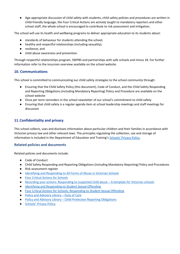● Age-appropriate discussion of child safety with students, child safety policies and procedures are written in child-friendly language, the Four Critical Actions are actively taught to mandatory reporters and other school staff, the whole school is encouraged to contribute to risk assessment and mitigation.

The school will use its health and wellbeing programs to deliver appropriate education to its students about:

- standards of behaviour for students attending the school;
- healthy and respectful relationships (including sexuality);
- resilience; and
- child abuse awareness and prevention.

Through respectful relationships program, SWPBS and partnerships with safe schools and minus 18. For further information refer to the incursion overview available on the school website.

# **10. Communications**

This school is committed to communicating our child safety strategies to the school community through:

- Ensuring that the Child Safety Policy (this document), Code of Conduct, and the Child Safety Responding and Reporting Obligations (including Mandatory Reporting) Policy and Procedure are available on the school website
- Once per term reminders in the school newsletter of our school's commitment to child safety
- Ensuring that child safety is a regular agenda item at school leadership meetings and staff meetings for discussion

# **11.Confidentiality and privacy**

This school collects, uses and discloses information about particular children and their families in accordance with Victorian privacy law and other relevant laws. The principles regulating the collection, use and storage of information is included in the Department of Education and Training's [Schools' Privacy Policy](https://www.education.vic.gov.au/Pages/schoolsprivacypolicy.aspx).

# **Related policies and documents**

Related policies and documents include:

- Code of Conduct
- Child Safety Responding and Reporting Obligations (including Mandatory Reporting) Policy and Procedures
- Risk assessment register
- [Identifying and Responding to All Forms of Abuse in Victorian Schools](https://www.education.vic.gov.au/Documents/about/programs/health/protect/ChildSafeStandard5_SchoolsGuide.pdf)
- **[Four Critical Actions for Schools](https://www.education.vic.gov.au/Documents/about/programs/health/protect/FourCriticalActions_ChildAbuse.pdf)**
- [Recording your actions: Responding to suspected child abuse](https://www.education.vic.gov.au/Documents/about/programs/health/protect/PROTECT_Schoolstemplate.pdf)  A template for Victorian schools
- **[Identifying and Responding to Student Sexual Offending](https://www.education.vic.gov.au/Documents/about/programs/health/protect/SSO_Policy.pdf)**
- [Four Critical Actions for Schools: Responding to Student Sexual Offending](https://www.education.vic.gov.au/Documents/about/programs/health/protect/FourCriticalActions_SSO.pdf)
- [Policy and Advisory Library](https://www.education.vic.gov.au/school/principals/spag/safety/Pages/dutyofcare.aspx)  Duty of Care
- Policy and Advisory Library [Child Protection Reporting Obligations](https://www.education.vic.gov.au/school/principals/spag/safety/Pages/childprotectobligation.aspx)
- [Schools' Privacy Policy](https://www.education.vic.gov.au/Pages/schoolsprivacypolicy.aspx).